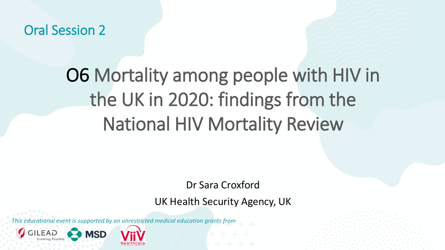Oral Session 2

## O6 Mortality among people with HIV in the UK in 2020: findings from the National HIV Mortality Review

Dr Sara Croxford

UK Health Security Agency, UK

*This educational event is supported by an unrestricted medical education grants from* 

**MSD**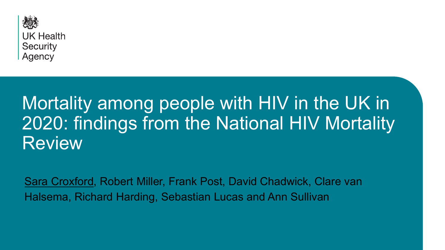

## Mortality among people with HIV in the UK in 2020: findings from the National HIV Mortality Review

• Sara Croxford, Robert Miller, Frank Post, David Chadwick, Clare van Halsema, Richard Harding, Sebastian Lucas and Ann Sullivan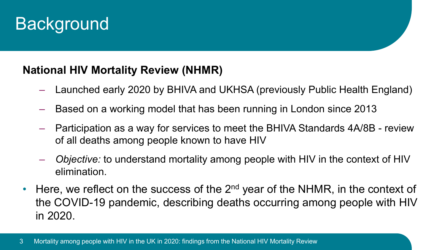## **Background**

#### **National HIV Mortality Review (NHMR)**

- Launched early 2020 by BHIVA and UKHSA (previously Public Health England)
- Based on a working model that has been running in London since 2013
- Participation as a way for services to meet the BHIVA Standards 4A/8B review of all deaths among people known to have HIV
- *Objective:* to understand mortality among people with HIV in the context of HIV elimination.
- Here, we reflect on the success of the  $2<sup>nd</sup>$  year of the NHMR, in the context of the COVID-19 pandemic, describing deaths occurring among people with HIV in 2020.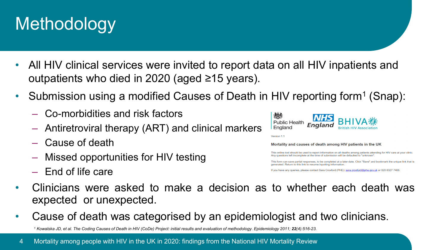## Methodology

- All HIV clinical services were invited to report data on all HIV inpatients and outpatients who died in 2020 (aged ≥15 years).
- Submission using a modified Causes of Death in HIV reporting form<sup>1</sup> (Snap):
	- Co-morbidities and risk factors
	- Antiretroviral therapy (ART) and clinical markers
	- Cause of death
	- Missed opportunities for HIV testing
	- End of life care



Version 11

Mortality and causes of death among HIV patients in the UK

This online tool should be used to report information on all deaths among patients attending for HIV care at your clinic. Any questions left incomplete at the time of submission will be defaulted to "unknown"

This form can save partial responses, to be completed at a later date. Click "Save" and bookmark the unique link that is generated. Return to this link to resume inputting information

If you have any queries, please contact Sara Croxford (PHE): sara.croxford@phe.gov.uk or 020 8327 7406

- Clinicians were asked to make a decision as to whether each death was expected or unexpected.
- Cause of death was categorised by an epidemiologist and two clinicians.

*<sup>1</sup> Kowalska JD, et al. The Coding Causes of Death in HIV (CoDe) Project: initial results and evaluation of methodology. Epidemiology 2011; 22(4):516-23.*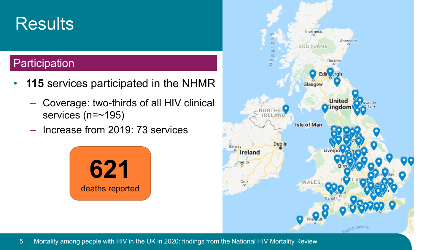## **Results**

#### **Participation**

- 115 services participated in the NHMR
	- Coverage: two-thirds of all HIV clinical services (n=~195)
	- Increase from 2019: 73 services



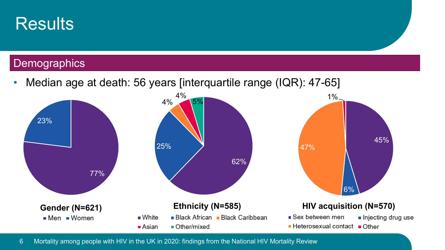

### **Demographics**

• Median age at death: 56 years [interquartile range (IQR): 47-65]

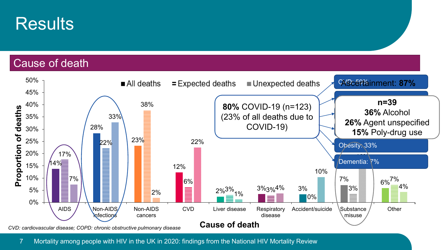

#### Cause of death

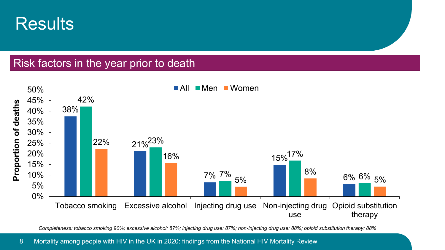

#### Risk factors in the year prior to death



*Completeness: tobacco smoking 90%; excessive alcohol: 87%; injecting drug use: 87%; non-injecting drug use: 88%; opioid substitution therapy: 88%*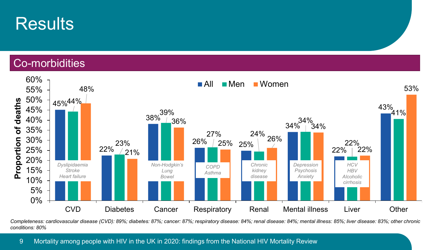

#### Co-morbidities



*Completeness: cardiovascular disease (CVD): 89%; diabetes: 87%; cancer: 87%; respiratory disease: 84%; renal disease: 84%; mental illness: 85%; liver disease: 83%; other chronic conditions: 80%*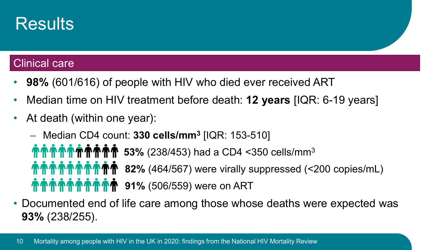

#### Clinical care

- **98%** (601/616) of people with HIV who died ever received ART
- Median time on HIV treatment before death: **12 years** [IQR: 6-19 years]
- At death (within one year):
	- Median CD4 count: **330 cells/mm3** [IQR: 153-510]

**个个个个个个个个个** 53% (238/453) had a CD4 <350 cells/mm<sup>3</sup> **82%** (464/567) were virally suppressed (<200 copies/mL) **91%** (506/559) were on ART

• Documented end of life care among those whose deaths were expected was **93%** (238/255).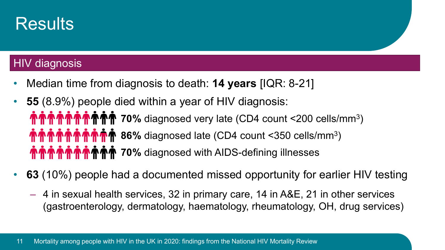

#### **HIV diagnosis**

- Median time from diagnosis to death: **14 years** [IQR: 8-21]
- **55** (8.9%) people died within a year of HIV diagnosis: **介eto of the original of the manner of the manner of the manner of the manner of the manner of the manner of the manner of the manner of the manner of the manner of the manner of the manner of the manner of the manner of 个个个个个个个个** 86% diagnosed late (CD4 count <350 cells/mm<sup>3</sup>) **MOMMUM AT THE READ SET ON MUNITIES IN THE WATER THE MOVE OF THE MUNITIES IN A THE MOVE OF THE MOMES OF THE MUNITIES OF THE MUNITIES OF THE MUNITIES OF THE MUNITIES OF THE MUNITIES OF THE MUNITIES OF THE MUNITIES OF THE MU**
- **63** (10%) people had a documented missed opportunity for earlier HIV testing
	- 4 in sexual health services, 32 in primary care, 14 in A&E, 21 in other services (gastroenterology, dermatology, haematology, rheumatology, OH, drug services)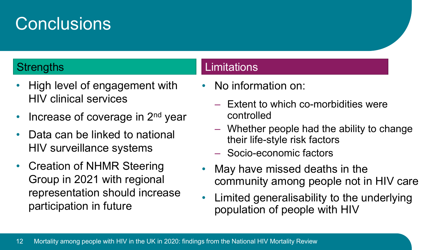## **Conclusions**

- High level of engagement with HIV clinical services
- Increase of coverage in 2<sup>nd</sup> year
- Data can be linked to national HIV surveillance systems
- Creation of NHMR Steering Group in 2021 with regional representation should increase participation in future

#### Strengths **Limitations**

- No information on:
	- Extent to which co-morbidities were controlled
	- Whether people had the ability to change their life-style risk factors
	- Socio-economic factors
- May have missed deaths in the community among people not in HIV care
- Limited generalisability to the underlying population of people with HIV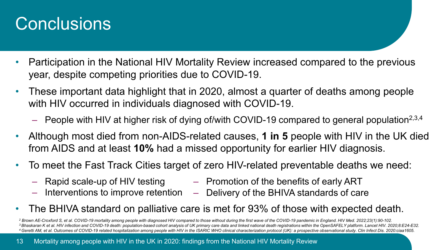## **Conclusions**

- Participation in the National HIV Mortality Review increased compared to the previous year, despite competing priorities due to COVID-19.
- These important data highlight that in 2020, almost a quarter of deaths among people with HIV occurred in individuals diagnosed with COVID-19.
	- People with HIV at higher risk of dying of/with COVID-19 compared to general population<sup>2,3,4</sup>
- Although most died from non-AIDS-related causes, **1 in 5** people with HIV in the UK died from AIDS and at least **10%** had a missed opportunity for earlier HIV diagnosis.
- To meet the Fast Track Cities target of zero HIV-related preventable deaths we need:
	-
	-
	- Rapid scale-up of HIV testing Promotion of the benefits of early ART
	- Interventions to improve retention Delivery of the BHIVA standards of care
- The BHIVA standard on palliative care is met for 93% of those with expected death.

<sup>2</sup> Brown AE-Croxford S, et al. COVID-19 mortality among people with diagnosed HIV compared to those without during the first wave of the COVID-19 pandemic in England. HIV Med. 2022;23(1):90-102. <sup>3</sup> Bhaskaran K et al. HIV infection and COVID-19 death: population-based cohort analysis of UK primary care data and linked national death registrations within the OpenSAFELY platform. Lancet HIV. 2020;8:E24-E32. 4 Geretti AM, et al. Outcomes of COVID-19 related hospitalization among people with HIV in the ISARIC WHO clinical characterization protocol (UK): a prospective observational study. Clin Infect Dis. 2020:ciaa1605.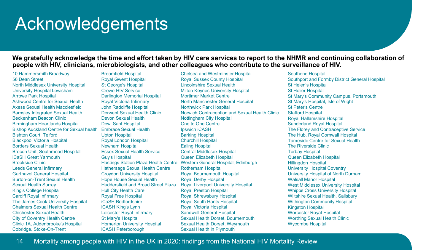## **Acknowledgements**

#### **We gratefully acknowledge the time and effort taken by HIV care services to report to the NHMR and continuing collaboration of people with HIV, clinicians, microbiologists, and other colleagues who contribute to the surveillance of HIV.**

10 Hammersmith Broadway 56 Dean Street North Middlesex University Hospital University Hospital Lewisham Arrowe Park Hospital Ashwood Centre for Sexual Health Axess Sexual Health Macclesfield Barnsley Integrated Sexual Health Beckenham Beacon Clinic Birmingham Heartlands Hospital Bishop Auckland Centre for Sexual health Bishton Court, Telford Blackpool Victoria Hospital Borders Sexual Health Brecon Unit, Southmead Hospital iCaSH Great Yarmouth Brookside Clinic Leeds General Infirmary Gartnavel General Hospital Burton-on-Trent Sexual Health Sexual Health Surrey King's College Hospital Cardiff Royal Infirmary The James Cook University Hospital Chalmers Sexual Health Centre Chichester Sexual Health City of Coventry Health Centre Clinic 1A, Addenbrooke's Hospital Cobridge, Stoke-On-Trent

Broomfield Hospital Royal Gwent Hospital St George's Hospital Crewe HIV Service Darlington Memorial Hospital Royal Victoria Infirmary John Radcliffe Hospital Derwent Sexual Health Clinic Devon Sexual Health Dewi Sant Hospital Embrace Sexual Health Upton Hospital Royal London Hospital Newham Hospital Essex Sexual Health Service Guy's Hospital Hathersage Sexual Health Centre Croydon University Hospital Hope House Sexual Health Huddersfield and Broad Street Plaza Hull City Health Care Royal Free Hospital iCaSH Bedfordshire iCASH King's Lynn Leicester Royal Infirmary St Mary's Hospital Homerton University Hospital iCASH Peterborough

Hastings Station Plaza Health Centre Western General Hospital, Edinburgh Chelsea and Westminster Hospital Royal Sussex County Hospital Lincolnshire Sexual Health Milton Keynes University Hospital Mortimer Market Centre North Manchester General Hospital Northwick Park Hospital Norwich Contraception and Sexual Health Clinic Nottingham City Hospital One to One Centre Ipswich iCASH Barking Hospital Churchill Hospital Ealing Hospital Central Middlesex Hospital Queen Elizabeth Hospital Rotherham Hospital Royal Bournemouth Hospital Royal Derby Hospital Royal Liverpool University Hospital Royal Preston Hospital Royal Shrewsbury Hospital Royal South Hants Hospital Royal Victoria Hospital Sandwell General Hospital Sexual Health Dorset, Bournemouth Sexual Health Dorset, Weymouth Sexual Health in Plymouth

Southend Hospital Southport and Formby District General Hospital St Helen's Hospital St Helier Hospital St Mary's Community Campus, Portsmouth St Mary's Hospital, Isle of Wight St Peter's Centre Stafford Hospital Royal Hallamshire Hospital Sunderland Royal Hospital The Florey and Contraceptive Service The Hub, Royal Cornwall Hospital Tameside Centre for Sexual Health The Riverside Clinic Torbay Hospital Queen Elizabeth Hospital Hillingdon Hospital University Hospital Coventry University Hospital of North Durham Walsall Manor Hospital West Middlesex University Hospital Whipps Cross University Hospital Wiltshire Sexual Health, Salisbury Withington Community Hospital Kingston Hospital Worcester Royal Hospital Worthing Sexual Health Clinic Wycombe Hospital